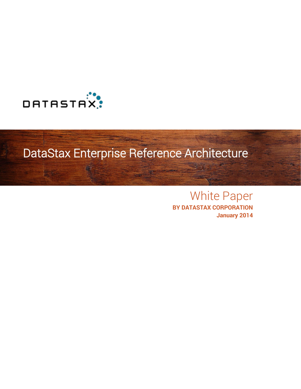

# DataStax Enterprise Reference Architecture

# White Paper

**BY DATASTAX CORPORATION January 2014**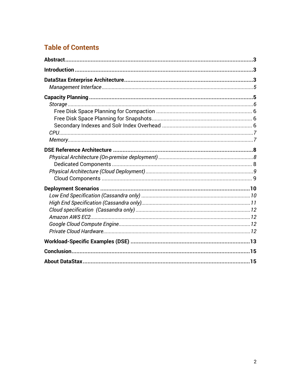## **Table of Contents**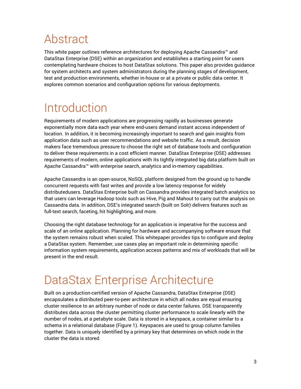# <span id="page-2-0"></span>Abstract

This white paper outlines reference architectures for deploying Apache Cassandra™ and DataStax Enterprise (DSE) within an organization and establishes a starting point for users contemplating hardware choices to host DataStax solutions. This paper also provides guidance for system architects and system administrators during the planning stages of development, test and production environments, whether in-house or at a private or public data center. It explores common scenarios and configuration options for various deployments.

# <span id="page-2-1"></span>Introduction

Requirements of modern applications are progressing rapidly as businesses generate exponentially more data each year where end-users demand instant access independent of location. In addition, it is becoming increasingly important to search and gain insights from application data such as user recommendations and website traffic. As a result, decision makers face tremendous pressure to choose the right set of database tools and configuration to deliver these requirements in a cost efficient manner. DataStax Enterprise (DSE) addresses requirements of modern, online applications with its tightly integrated big data platform built on Apache Cassandra™ with enterprise search, analytics and in-memory capabilities.

Apache Cassandra is an open-source, NoSQL platform designed from the ground up to handle concurrent requests with fast writes and provide a low latency response for widely distributedusers. DataStax Enterprise built on Cassandra provides integrated batch analytics so that users can leverage Hadoop tools such as Hive, Pig and Mahout to carry out the analysis on Cassandra data. In addition, DSE's integrated search (built on Solr) delivers features such as full-text search, faceting, hit highlighting, and more.

Choosing the right database technology for an application is imperative for the success and scale of an online application. Planning for hardware and accompanying software ensure that the system remains robust when scaled. This whitepaper provides tips to configure and deploy a DataStax system. Remember, use cases play an important role in determining specific information system requirements, application access patterns and mix of workloads that will be present in the end result.

# <span id="page-2-2"></span>DataStax Enterprise Architecture

Built on a production-certified version of Apache Cassandra, DataStax Enterprise (DSE) encapsulates a distributed peer-to-peer architecture in which all nodes are equal ensuring cluster resilience to an arbitrary number of node or data center failures. DSE transparently distributes data across the cluster permitting cluster performance to scale linearly with the number of nodes, at a petabyte scale. Data is stored in a keyspace, a container similar to a schema in a relational database (Figure 1). Keyspaces are used to group column families together. Data is uniquely identified by a primary key that determines on which node in the cluster the data is stored.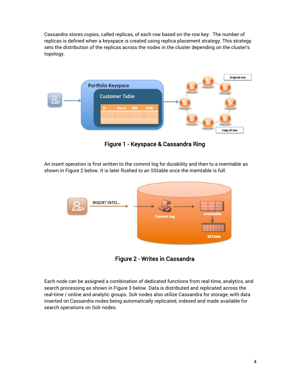Cassandra stores copies, called replicas, of each row based on the row key. The number of replicas is defined when a keyspace is created using replica placement strategy. This strategy sets the distribution of the replicas across the nodes in the cluster depending on the cluster's topology.



Figure 1 - Keyspace & Cassandra Ring

An insert operation is first written to the commit log for durability and then to a memtable as shown in Figure 2 below. It is later flushed to an SStable once the memtable is full.



Figure 2 - Writes in Cassandra

Each node can be assigned a combination of dedicated functions from real-time, analytics, and search processing as shown in Figure 3 below. Data is distributed and replicated across the real-time / online and analytic groups. Solr nodes also utilize Cassandra for storage, with data inserted on Cassandra nodes being automatically replicated, indexed and made available for search operations on Solr nodes.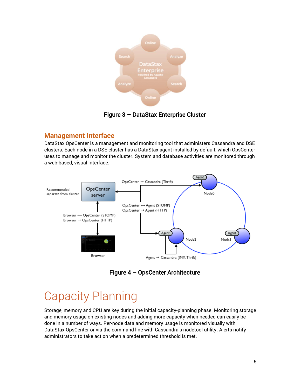

### Figure 3 – DataStax Enterprise Cluster

### <span id="page-4-0"></span>**Management Interface**

DataStax OpsCenter is a management and monitoring tool that administers Cassandra and DSE clusters. Each node in a DSE cluster has a DataStax agent installed by default, which OpsCenter uses to manage and monitor the cluster. System and database activities are monitored through a web-based, visual interface.



Figure 4 – OpsCenter Architecture

## <span id="page-4-1"></span>Capacity Planning

Storage, memory and CPU are key during the initial capacity-planning phase. Monitoring storage and memory usage on existing nodes and adding more capacity when needed can easily be done in a number of ways. Per-node data and memory usage is monitored visually with DataStax OpsCenter or via the command line with Cassandra's nodetool utility. Alerts notify administrators to take action when a predetermined threshold is met.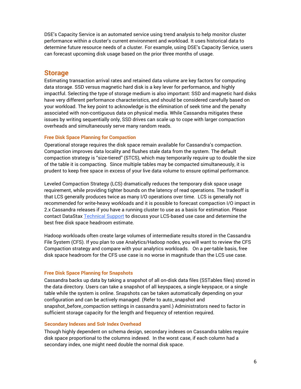DSE's Capacity Service is an automated service using trend analysis to help monitor cluster performance within a cluster's current environment and workload. It uses historical data to determine future resource needs of a cluster. For example, using DSE's Capacity Service, users can forecast upcoming disk usage based on the prior three months of usage.

### <span id="page-5-0"></span>**Storage**

Estimating transaction arrival rates and retained data volume are key factors for computing data storage. SSD versus magnetic hard disk is a key lever for performance, and highly impactful. Selecting the type of storage medium is also important: SSD and magnetic hard disks have very different performance characteristics, and should be considered carefully based on your workload. The key point to acknowledge is the elimination of seek time and the penalty associated with non-contiguous data on physical media. While Cassandra mitigates these issues by writing sequentially only, SSD drives can scale up to cope with larger compaction overheads and simultaneously serve many random reads.

#### <span id="page-5-1"></span>**Free Disk Space Planning for Compaction**

Operational storage requires the disk space remain available for Cassandra's compaction. Compaction improves data locality and flushes stale data from the system. The default compaction strategy is "size-tiered" (STCS), which may temporarily require up to double the size of the table it is compacting. Since multiple tables may be compacted simultaneously, it is prudent to keep free space in excess of your live data volume to ensure optimal performance.

[Leveled Compaction](http://www.datastax.com/dev/blog/leveled-compaction-in-apache-cassandra) Strategy (LCS) dramatically reduces the temporary disk space usage requirement, while providing tighter bounds on the latency of read operations. The tradeoff is that LCS generally produces twice as many I/O operations over time. LCS is generally not recommended for write-heavy workloads and it is possible to [forecast compaction I/O impact](http://www.datastax.com/documentation/cassandra/2.0/webhelp/index.html#cassandra/operations/ops_test_compact_compress_t.html) in 2.x Cassandra releases if you have a running cluster to use as a basis for estimation. Please contact DataSta[x Technical Support](http://www.datastax.com/what-we-offer/products-services/support) to discuss your LCS-based use case and determine the best free disk space headroom estimate.

Hadoop workloads often create large volumes of intermediate results stored in the Cassandra File System (CFS). If you plan to use Analytics/Hadoop nodes, you will want to review the [CFS](http://www.datastax.com/dev/blog/new-in-datastax-enterprise-2-1-improved-compaction-strategy-to-boost-analytical-processing-performance)  [Compaction](http://www.datastax.com/dev/blog/new-in-datastax-enterprise-2-1-improved-compaction-strategy-to-boost-analytical-processing-performance) strategy and compare with your analytics workloads. On a per-table basis, free disk space headroom for the CFS use case is no worse in magnitude than the LCS use case.

#### <span id="page-5-2"></span>**Free Disk Space Planning for Snapshots**

Cassandra backs up data by taking a snapshot of all on-disk data files (SSTables files) stored in the data directory. Users can take a snapshot of all keyspaces, a single keyspace, or a single table while the system is online. Snapshots can be taken automatically depending on your configuration and can be actively managed. (Refer to auto\_snapshot and snapshot\_before\_compaction settings in cassandra.yaml.) Administrators need to factor in sufficient storage capacity for the length and frequency of retention required.

#### <span id="page-5-3"></span>**Secondary Indexes and Solr Index Overhead**

Though highly dependent on schema design, secondary indexes on Cassandra tables require disk space proportional to the columns indexed. In the worst case, if each column had a secondary index, one might need double the normal disk space.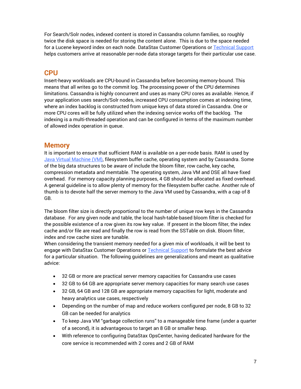For Search/Solr nodes, indexed content is stored in Cassandra column families, so roughly twice the disk space is needed for storing the content alone. This is due to the space needed for a Lucene keyword index on each node. DataStax Customer Operations or [Technical Support](http://www.datastax.com/what-we-offer/products-services/support) helps customers arrive at reasonable per-node data storage targets for their particular use case.

### <span id="page-6-0"></span>**CPU**

Insert-heavy workloads are CPU-bound in Cassandra before becoming memory-bound. This means that all writes go to the commit log. The processing power of the CPU determines limitations. Cassandra is highly concurrent and uses as many CPU cores as available. Hence, if your application uses search/Solr nodes, increased CPU consumption comes at indexing time, where an index backlog is constructed from unique keys of data stored in Cassandra. One or more CPU cores will be fully utilized when the indexing service works off the backlog. The indexing is a multi-threaded operation and can be configured in terms of the maximum number of allowed index operation in queue.

### <span id="page-6-1"></span>**Memory**

It is important to ensure that sufficient RAM is available on a per-node basis. RAM is used by [Java Virtual Machine \(VM\),](http://www.datastax.com/documentation/cassandra/2.0/webhelp/cassandra/operations/ops_tune_jvm_c.html) filesystem buffer cache, operating system and by Cassandra. Some of the [b](http://www.datastax.com/dev/blog/performance-improvements-in-cassandra-1-2)ig data structures to be aware of include the bloom filter, row cache, key cache, compression metadata and memtable. The operating system, Java VM and DSE all have fixed overhead. For memory capacity planning purposes, 4 GB should be allocated as fixed overhead. A general guideline is to allow plenty of memory for the filesystem buffer cache. Another rule of thumb is to devote half the server memory to the Java VM used by Cassandra, with a cap of 8 GB.

The bloom filter size is directly proportional to the number of unique row keys in the Cassandra database. For any given node and table, the local hash-table-based bloom filter is checked for the possible existence of a row given its row key value. If present in the bloom filter, the index cache and/or file are read and finally the row is read from the SSTable on disk. Bloom filter, index and row cache sizes are tunable.

When considering the transient memory needed for a given mix of workloads, it will be best to engage with DataStax Customer Operations or [Technical Support](http://www.datastax.com/what-we-offer/products-services/support) to formulate the best advice for a particular situation. The following guidelines are generalizations and meant as qualitative advice:

- 32 GB or more are practical server memory capacities for Cassandra use cases
- 32 GB to 64 GB are appropriate server memory capacities for many search use cases
- 32 GB, 64 GB and 128 GB are appropriate memory capacities for light, moderate and heavy analytics use cases, respectively
- Depending on the number of map and reduce workers configured per node, 8 GB to 32 GB can be needed for analytics
- To keep Java VM "garbage collection runs" to a manageable time frame (under a quarter of a second), it is advantageous to target an 8 GB or smaller heap.
- With reference to configuring DataStax OpsCenter, having dedicated hardware for the core service is recommended with 2 cores and 2 GB of RAM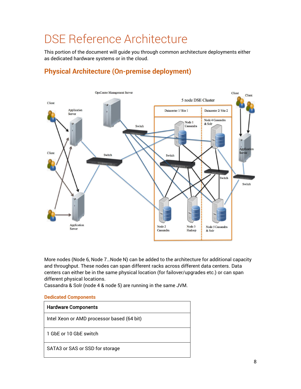# <span id="page-7-0"></span>DSE Reference Architecture

This portion of the document will guide you through common architecture deployments either as dedicated hardware systems or in the cloud.



## <span id="page-7-1"></span>**Physical Architecture (On-premise deployment)**

More nodes (Node 6, Node 7…Node N) can be added to the architecture for additional capacity and throughput. These nodes can span different racks across different data centers. Data centers can either be in the same physical location (for failover/upgrades etc.) or can span different physical locations.

Cassandra & Solr (node 4 & node 5) are running in the same JVM.

#### <span id="page-7-2"></span>**Dedicated Components**

| <b>Hardware Components</b>                 |
|--------------------------------------------|
| Intel Xeon or AMD processor based (64 bit) |
| 1 GbF or 10 GbF switch                     |
| SATA3 or SAS or SSD for storage            |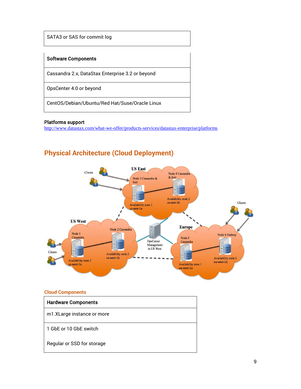SATA3 or SAS for commit log

#### Software Components

Cassandra 2.x, DataStax Enterprise 3.2 or beyond

OpsCenter 4.0 or beyond

CentOS/Debian/Ubuntu/Red Hat/Suse/Oracle Linux

#### Platforms support

http://www.datastax.com/what-we-offer/products-services/datastax-enterprise/platforms

### <span id="page-8-0"></span>**Physical Architecture (Cloud Deployment)**



#### <span id="page-8-1"></span>**Cloud Components**

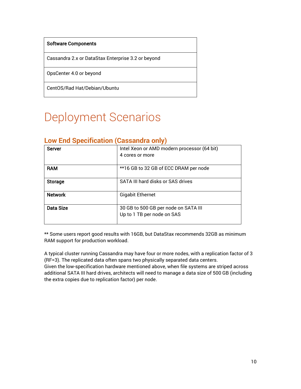#### Software Components

Cassandra 2.x or DataStax Enterprise 3.2 or beyond

OpsCenter 4.0 or beyond

<span id="page-9-0"></span>CentOS/Rad Hat/Debian/Ubuntu

# Deployment Scenarios

| <b>Server</b>    | Intel Xeon or AMD modern processor (64 bit)<br>4 cores or more     |
|------------------|--------------------------------------------------------------------|
|                  |                                                                    |
| <b>RAM</b>       | **16 GB to 32 GB of ECC DRAM per node                              |
| <b>Storage</b>   | SATA III hard disks or SAS drives                                  |
| <b>Network</b>   | <b>Gigabit Ethernet</b>                                            |
| <b>Data Size</b> | 30 GB to 500 GB per node on SATA III<br>Up to 1 TB per node on SAS |

### <span id="page-9-1"></span>**Low End Specification (Cassandra only)**

\*\* Some users report good results with 16GB, but DataStax recommends 32GB as minimum RAM support for production workload.

A typical cluster running Cassandra may have four or more nodes, with a replication factor of 3 (RF=3). The replicated data often spans two physically separated data centers. Given the low-specification hardware mentioned above, when file systems are striped across additional SATA III hard drives, architects will need to manage a data size of 500 GB (including the extra copies due to replication factor) per node.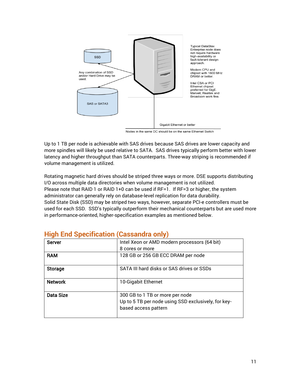

Nodes in the same DC should be on the same Ethernet Switch

Up to 1 TB per node is achievable with SAS drives because SAS drives are lower capacity and more spindles will likely be used relative to SATA. SAS drives typically perform better with lower latency and higher throughput than SATA counterparts. Three-way striping is recommended if volume management is utilized.

Rotating magnetic hard drives should be striped three ways or more. DSE supports distributing I/O across multiple data directories when volume management is not utilized. Please note that RAID 1 or RAID 1+0 can be used if RF=1. If RF=3 or higher, the system administrator can generally rely on database-level replication for data durability. Solid State Disk (SSD) may be striped two ways, however, separate PCI-e controllers must be used for each SSD. SSD's typically outperform their mechanical counterparts but are used more in performance-oriented, higher-specification examples as mentioned below.

| <b>Server</b>    | Intel Xeon or AMD modern processors (64 bit)        |
|------------------|-----------------------------------------------------|
|                  | 8 cores or more                                     |
| <b>RAM</b>       | 128 GB or 256 GB ECC DRAM per node                  |
|                  |                                                     |
| <b>Storage</b>   | SATA III hard disks or SAS drives or SSDs           |
|                  |                                                     |
| <b>Network</b>   | 10-Gigabit Ethernet                                 |
|                  |                                                     |
| <b>Data Size</b> | 300 GB to 1 TB or more per node                     |
|                  | Up to 5 TB per node using SSD exclusively, for key- |
|                  | based access pattern                                |
|                  |                                                     |

### <span id="page-10-0"></span>**High End Specification (Cassandra only)**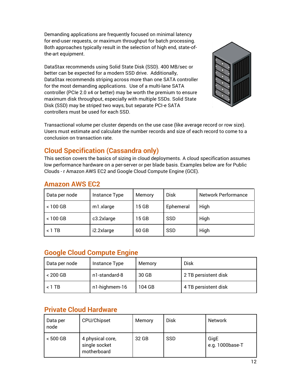Demanding applications are frequently focused on minimal latency for end-user requests, or maximum throughput for batch processing. Both approaches typically result in the selection of high end, state-ofthe-art equipment.

DataStax recommends using Solid State Disk (SSD). 400 MB/sec or better can be expected for a modern SSD drive. Additionally, DataStax recommends striping across more than one SATA controller for the most demanding applications. Use of a multi-lane SATA controller (PCIe 2.0 x4 or better) may be worth the premium to ensure maximum disk throughput, especially with multiple SSDs. Solid State Disk (SSD) may be striped two ways, but separate PCI-e SATA controllers must be used for each SSD.



Transactional volume per cluster depends on the use case (like average record or row size). Users must estimate and calculate the number records and size of each record to come to a conclusion on transaction rate.

## <span id="page-11-0"></span>**Cloud Specification (Cassandra only)**

This section covers the basics of sizing in cloud deployments. A cloud specification assumes low performance hardware on a per-server or per blade basis. Examples below are for Public Clouds - r Amazon AWS EC2 and Google Cloud Compute Engine (GCE).

| Data per node | Instance Type | Memory | <b>Disk</b> | Network Performance |
|---------------|---------------|--------|-------------|---------------------|
| $< 100$ GB    | m1.xlarge     | 15 GB  | Ephemeral   | High                |
| $< 100$ GB    | c3.2xlarge    | 15 GB  | <b>SSD</b>  | High                |
| $< 1$ TB      | i2.2xlarge    | 60 GB  | <b>SSD</b>  | High                |

### <span id="page-11-1"></span>**Amazon AWS EC2**

### <span id="page-11-2"></span>**Google Cloud Compute Engine**

| Data per node | Instance Type | Memory | <b>Disk</b>          |
|---------------|---------------|--------|----------------------|
| $< 200$ GB    | n1-standard-8 | 30 GB  | 2 TB persistent disk |
| $< 1$ TB      | n1-highmem-16 | 104 GB | 4 TB persistent disk |

### <span id="page-11-3"></span>**Private Cloud Hardware**

| Data per<br>node | CPU/Chipset                                      | Memory | <b>Disk</b> | <b>Network</b>          |
|------------------|--------------------------------------------------|--------|-------------|-------------------------|
| $< 500$ GB       | 4 physical core,<br>single socket<br>motherboard | 32 GB  | SSD         | GigE<br>e.g. 1000base-T |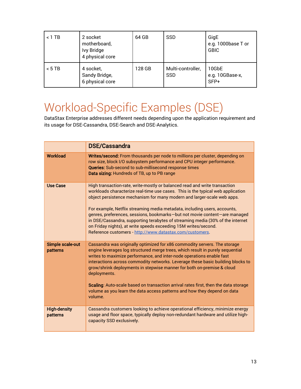| $< 1$ TB | 2 socket<br>motherboard,<br>Ivy Bridge<br>4 physical core | 64 GB  | <b>SSD</b>                      | GigE<br>e.g. 1000base T or<br><b>GBIC</b> |
|----------|-----------------------------------------------------------|--------|---------------------------------|-------------------------------------------|
| $< 5$ TB | 4 socket,<br>Sandy Bridge,<br>6 physical core             | 128 GB | Multi-controller,<br><b>SSD</b> | 10GbE<br>e.g. 10GBase-x,<br>SFP+          |

# <span id="page-12-0"></span>Workload-Specific Examples (DSE)

DataStax Enterprise addresses different needs depending upon the application requirement and its usage for DSE-Cassandra, DSE-Search and DSE-Analytics.

|                                 | <b>DSE/Cassandra</b>                                                                                                                                                                                                                                                                                                                                                                                                                                                                                                                                                                                                 |
|---------------------------------|----------------------------------------------------------------------------------------------------------------------------------------------------------------------------------------------------------------------------------------------------------------------------------------------------------------------------------------------------------------------------------------------------------------------------------------------------------------------------------------------------------------------------------------------------------------------------------------------------------------------|
| <b>Workload</b>                 | Writes/second: From thousands per node to millions per cluster, depending on<br>row size, block I/O subsystem performance and CPU integer performance.<br><b>Queries:</b> Sub-second to sub-millisecond response times<br>Data sizing: Hundreds of TB, up to PB range                                                                                                                                                                                                                                                                                                                                                |
| <b>Use Case</b>                 | High transaction-rate, write-mostly or balanced read and write transaction<br>workloads characterize real-time use cases. This is the typical web application<br>object persistence mechanism for many modern and larger-scale web apps.<br>For example, Netflix streaming media metadata, including users, accounts,<br>genres, preferences, sessions, bookmarks-but not movie content-are managed<br>in DSE/Cassandra, supporting terabytes of streaming media (30% of the internet<br>on Friday nights), at write speeds exceeding 15M writes/second.<br>Reference customers - http://www.datastax.com/customers. |
| Simple scale-out<br>patterns    | Cassandra was originally optimized for x86 commodity servers. The storage<br>engine leverages log structured merge trees, which result in purely sequential<br>writes to maximize performance, and inter-node operations enable fast<br>interactions across commodity networks. Leverage these basic building blocks to<br>grow/shrink deployments in stepwise manner for both on-premise & cloud<br>deployments.<br>Scaling: Auto-scale based on transaction arrival rates first, then the data storage<br>volume as you learn the data access patterns and how they depend on data<br>volume.                      |
| <b>High-density</b><br>patterns | Cassandra customers looking to achieve operational efficiency, minimize energy<br>usage and floor space, typically deploy non-redundant hardware and utilize high-<br>capacity SSD exclusively.                                                                                                                                                                                                                                                                                                                                                                                                                      |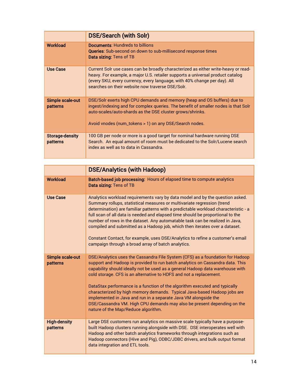|                                    | <b>DSE/Search (with Solr)</b>                                                                                                                                                                                                                                                                         |
|------------------------------------|-------------------------------------------------------------------------------------------------------------------------------------------------------------------------------------------------------------------------------------------------------------------------------------------------------|
| Workload                           | <b>Documents: Hundreds to billions</b><br><b>Queries:</b> Sub-second on down to sub-millisecond response times<br><b>Data sizing:</b> Tens of TB                                                                                                                                                      |
| <b>Use Case</b>                    | Current Solr use cases can be broadly characterized as either write-heavy or read-<br>heavy. For example, a major U.S. retailer supports a universal product catalog<br>(every SKU, every currency, every language, with 40% change per day). All<br>searches on their website now traverse DSE/Solr. |
| Simple scale-out<br>patterns       | DSE/Solr exerts high CPU demands and memory (heap and OS buffers) due to<br>ingest/indexing and for complex queries. The benefit of smaller nodes is that Solr<br>auto-scales/auto-shards as the DSE cluster grows/shrinks.<br>Avoid vnodes (num_tokens > 1) on any DSE/Search nodes.                 |
| <b>Storage-density</b><br>patterns | 100 GB per node or more is a good target for nominal hardware running DSE<br>Search. An equal amount of room must be dedicated to the Solr/Lucene search<br>index as well as to data in Cassandra.                                                                                                    |

|                                 | <b>DSE/Analytics (with Hadoop)</b>                                                                                                                                                                                                                                                                                                                                                                                                                                                                                                                                                                                                                                   |
|---------------------------------|----------------------------------------------------------------------------------------------------------------------------------------------------------------------------------------------------------------------------------------------------------------------------------------------------------------------------------------------------------------------------------------------------------------------------------------------------------------------------------------------------------------------------------------------------------------------------------------------------------------------------------------------------------------------|
| <b>Workload</b>                 | Batch-based job processing: Hours of elapsed time to compute analytics<br>Data sizing: Tens of TB                                                                                                                                                                                                                                                                                                                                                                                                                                                                                                                                                                    |
| <b>Use Case</b>                 | Analytics workload requirements vary by data model and by the question asked.<br>Summary rollups, statistical measures or multivariate regression (trend<br>determination) are familiar patterns with a predictable workload characteristic - a<br>full scan of all data is needed and elapsed time should be proportional to the<br>number of rows in the dataset. Any automatable task can be realized in Java,<br>compiled and submitted as a Hadoop job, which then iterates over a dataset.<br>Constant Contact, for example, uses DSE/Analytics to refine a customer's email<br>campaign through a broad array of batch analytics.                             |
| Simple scale-out<br>patterns    | DSE/Analytics uses the Cassandra File System (CFS) as a foundation for Hadoop<br>support and Hadoop is provided to run batch analytics on Cassandra data. This<br>capability should ideally not be used as a general Hadoop data warehouse with<br>cold storage. CFS is an alternative to HDFS and not a replacement.<br>DataStax performance is a function of the algorithm executed and typically<br>characterized by high memory demands. Typical Java-based Hadoop jobs are<br>implemented in Java and run in a separate Java VM alongside the<br>DSE/Cassandra VM. High CPU demands may also be present depending on the<br>nature of the Map/Reduce algorithm. |
| <b>High-density</b><br>patterns | Large DSE customers run analytics on massive scale typically have a purpose-<br>built Hadoop clusters running alongside with DSE. DSE interoperates well with<br>Hadoop and other batch analytics frameworks through integrations such as<br>Hadoop connectors (Hive and Pig), ODBC/JDBC drivers, and bulk output format<br>data integration and ETL tools.                                                                                                                                                                                                                                                                                                          |